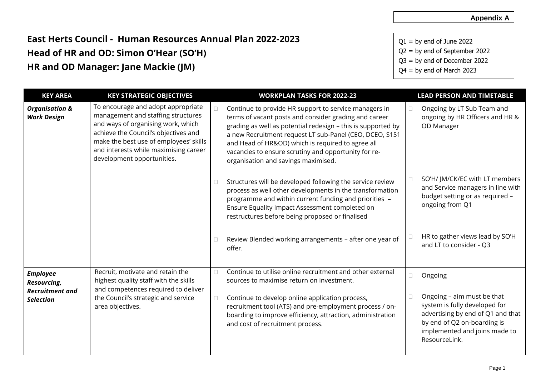## **East Herts Council - Human Resources Annual Plan 2022-2023 Head of HR and OD: Simon O'Hear (SO'H) HR and OD Manager: Jane Mackie (JM)**

 $Q1 = by$  end of June 2022 Q2 = by end of September 2022 Q3 = by end of December 2022

 $Q4 = by$  end of March 2023

| <b>KEY AREA</b>                                 | <b>KEY STRATEGIC OBJECTIVES</b>                                                                                                                                                                                                                                         | <b>WORKPLAN TASKS FOR 2022-23</b>                                                                                                                                                                                                                                                                                                                                                             |        | <b>LEAD PERSON AND TIMETABLE</b>                                                                                                                                                  |
|-------------------------------------------------|-------------------------------------------------------------------------------------------------------------------------------------------------------------------------------------------------------------------------------------------------------------------------|-----------------------------------------------------------------------------------------------------------------------------------------------------------------------------------------------------------------------------------------------------------------------------------------------------------------------------------------------------------------------------------------------|--------|-----------------------------------------------------------------------------------------------------------------------------------------------------------------------------------|
| <b>Organisation &amp;</b><br><b>Work Design</b> | To encourage and adopt appropriate<br>management and staffing structures<br>and ways of organising work, which<br>achieve the Council's objectives and<br>make the best use of employees' skills<br>and interests while maximising career<br>development opportunities. | Continue to provide HR support to service managers in<br>terms of vacant posts and consider grading and career<br>grading as well as potential redesign - this is supported by<br>a new Recruitment request LT sub-Panel (CEO, DCEO, S151<br>and Head of HR&OD) which is required to agree all<br>vacancies to ensure scrutiny and opportunity for re-<br>organisation and savings maximised. | $\Box$ | Ongoing by LT Sub Team and<br>ongoing by HR Officers and HR &<br>OD Manager                                                                                                       |
|                                                 |                                                                                                                                                                                                                                                                         | Structures will be developed following the service review<br>process as well other developments in the transformation<br>programme and within current funding and priorities -<br>Ensure Equality Impact Assessment completed on<br>restructures before being proposed or finalised                                                                                                           | $\Box$ | SO'H/ JM/CK/EC with LT members<br>and Service managers in line with<br>budget setting or as required -<br>ongoing from Q1                                                         |
|                                                 |                                                                                                                                                                                                                                                                         | Review Blended working arrangements - after one year of<br>offer.                                                                                                                                                                                                                                                                                                                             |        | HR to gather views lead by SO'H<br>and LT to consider - Q3                                                                                                                        |
| <b>Employee</b><br>Resourcing,                  | Recruit, motivate and retain the<br>highest quality staff with the skills<br>and competences required to deliver                                                                                                                                                        | Continue to utilise online recruitment and other external<br>sources to maximise return on investment.                                                                                                                                                                                                                                                                                        | $\Box$ | Ongoing                                                                                                                                                                           |
| <b>Recruitment and</b><br><b>Selection</b>      | the Council's strategic and service<br>area objectives.                                                                                                                                                                                                                 | Continue to develop online application process,<br>recruitment tool (ATS) and pre-employment process / on-<br>boarding to improve efficiency, attraction, administration<br>and cost of recruitment process.                                                                                                                                                                                  | $\Box$ | Ongoing - aim must be that<br>system is fully developed for<br>advertising by end of Q1 and that<br>by end of Q2 on-boarding is<br>implemented and joins made to<br>ResourceLink. |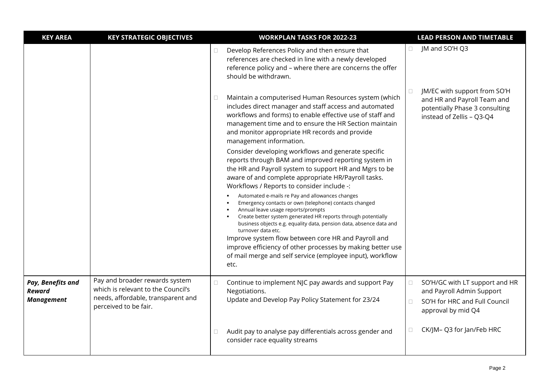| <b>KEY AREA</b>                                         | <b>KEY STRATEGIC OBJECTIVES</b>                                                                                                     |        | <b>WORKPLAN TASKS FOR 2022-23</b>                                                                                                                                                                                                                                                                                                                                    |                  | <b>LEAD PERSON AND TIMETABLE</b>                                                                                           |
|---------------------------------------------------------|-------------------------------------------------------------------------------------------------------------------------------------|--------|----------------------------------------------------------------------------------------------------------------------------------------------------------------------------------------------------------------------------------------------------------------------------------------------------------------------------------------------------------------------|------------------|----------------------------------------------------------------------------------------------------------------------------|
|                                                         |                                                                                                                                     | $\Box$ | Develop References Policy and then ensure that<br>references are checked in line with a newly developed<br>reference policy and - where there are concerns the offer<br>should be withdrawn.                                                                                                                                                                         |                  | JM and SO'H Q3                                                                                                             |
|                                                         |                                                                                                                                     | $\Box$ | Maintain a computerised Human Resources system (which<br>includes direct manager and staff access and automated<br>workflows and forms) to enable effective use of staff and<br>management time and to ensure the HR Section maintain<br>and monitor appropriate HR records and provide<br>management information.                                                   |                  | JM/EC with support from SO'H<br>and HR and Payroll Team and<br>potentially Phase 3 consulting<br>instead of Zellis - Q3-Q4 |
|                                                         |                                                                                                                                     |        | Consider developing workflows and generate specific<br>reports through BAM and improved reporting system in<br>the HR and Payroll system to support HR and Mgrs to be<br>aware of and complete appropriate HR/Payroll tasks.<br>Workflows / Reports to consider include -:                                                                                           |                  |                                                                                                                            |
|                                                         |                                                                                                                                     |        | Automated e-mails re Pay and allowances changes<br>Emergency contacts or own (telephone) contacts changed<br>Annual leave usage reports/prompts<br>Create better system generated HR reports through potentially<br>business objects e.g. equality data, pension data, absence data and<br>turnover data etc.<br>Improve system flow between core HR and Payroll and |                  |                                                                                                                            |
|                                                         |                                                                                                                                     |        | improve efficiency of other processes by making better use<br>of mail merge and self service (employee input), workflow<br>etc.                                                                                                                                                                                                                                      |                  |                                                                                                                            |
| Pay, Benefits and<br><b>Reward</b><br><b>Management</b> | Pay and broader rewards system<br>which is relevant to the Council's<br>needs, affordable, transparent and<br>perceived to be fair. | $\Box$ | Continue to implement NJC pay awards and support Pay<br>Negotiations.<br>Update and Develop Pay Policy Statement for 23/24                                                                                                                                                                                                                                           | $\Box$<br>$\Box$ | SO'H/GC with LT support and HR<br>and Payroll Admin Support<br>SO'H for HRC and Full Council<br>approval by mid Q4         |
|                                                         |                                                                                                                                     | $\Box$ | Audit pay to analyse pay differentials across gender and<br>consider race equality streams                                                                                                                                                                                                                                                                           | $\Box$           | CK/JM-Q3 for Jan/Feb HRC                                                                                                   |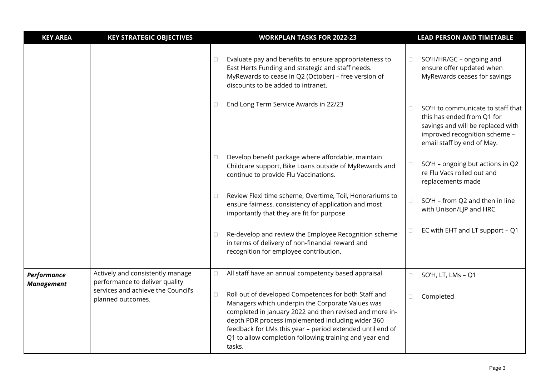| <b>KEY AREA</b>   | <b>KEY STRATEGIC OBJECTIVES</b>                                    |        | <b>WORKPLAN TASKS FOR 2022-23</b>                                                                                                                                                                                                                                                                                                                         |        | <b>LEAD PERSON AND TIMETABLE</b>                                                                                                                                    |
|-------------------|--------------------------------------------------------------------|--------|-----------------------------------------------------------------------------------------------------------------------------------------------------------------------------------------------------------------------------------------------------------------------------------------------------------------------------------------------------------|--------|---------------------------------------------------------------------------------------------------------------------------------------------------------------------|
|                   |                                                                    | $\Box$ | Evaluate pay and benefits to ensure appropriateness to<br>East Herts Funding and strategic and staff needs.<br>MyRewards to cease in Q2 (October) - free version of<br>discounts to be added to intranet.                                                                                                                                                 | $\Box$ | SO'H/HR/GC - ongoing and<br>ensure offer updated when<br>MyRewards ceases for savings                                                                               |
|                   |                                                                    | Ω      | End Long Term Service Awards in 22/23                                                                                                                                                                                                                                                                                                                     | $\Box$ | SO'H to communicate to staff that<br>this has ended from Q1 for<br>savings and will be replaced with<br>improved recognition scheme -<br>email staff by end of May. |
|                   |                                                                    | 0      | Develop benefit package where affordable, maintain<br>Childcare support, Bike Loans outside of MyRewards and<br>continue to provide Flu Vaccinations.                                                                                                                                                                                                     | $\Box$ | SO'H - ongoing but actions in Q2<br>re Flu Vacs rolled out and<br>replacements made                                                                                 |
|                   |                                                                    | □      | Review Flexi time scheme, Overtime, Toil, Honorariums to<br>ensure fairness, consistency of application and most<br>importantly that they are fit for purpose                                                                                                                                                                                             | $\Box$ | SO'H - from Q2 and then in line<br>with Unison/LJP and HRC                                                                                                          |
|                   |                                                                    | $\Box$ | Re-develop and review the Employee Recognition scheme<br>in terms of delivery of non-financial reward and<br>recognition for employee contribution.                                                                                                                                                                                                       | $\Box$ | EC with EHT and LT support - Q1                                                                                                                                     |
| Performance       | Actively and consistently manage<br>performance to deliver quality | $\Box$ | All staff have an annual competency based appraisal                                                                                                                                                                                                                                                                                                       | $\Box$ | SO'H, LT, LMs - Q1                                                                                                                                                  |
| <b>Management</b> | services and achieve the Council's<br>planned outcomes.            | $\Box$ | Roll out of developed Competences for both Staff and<br>Managers which underpin the Corporate Values was<br>completed in January 2022 and then revised and more in-<br>depth PDR process implemented including wider 360<br>feedback for LMs this year - period extended until end of<br>Q1 to allow completion following training and year end<br>tasks. | $\Box$ | Completed                                                                                                                                                           |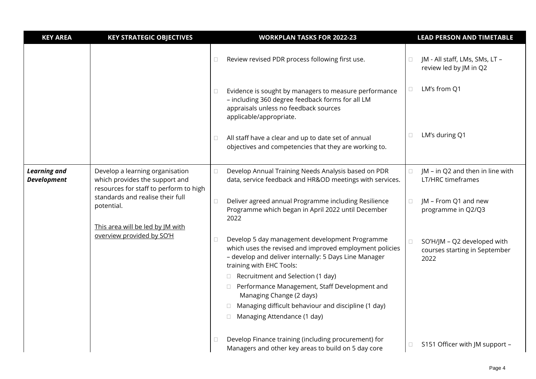| <b>KEY AREA</b>                                | <b>KEY STRATEGIC OBJECTIVES</b>                                                                             |                                                                                                                    | <b>WORKPLAN TASKS FOR 2022-23</b>                                                                                                                                                              |                                            | <b>LEAD PERSON AND TIMETABLE</b>                                     |
|------------------------------------------------|-------------------------------------------------------------------------------------------------------------|--------------------------------------------------------------------------------------------------------------------|------------------------------------------------------------------------------------------------------------------------------------------------------------------------------------------------|--------------------------------------------|----------------------------------------------------------------------|
|                                                |                                                                                                             | $\Box$                                                                                                             | Review revised PDR process following first use.                                                                                                                                                | $\Box$                                     | JM - All staff, LMs, SMs, LT -<br>review led by JM in Q2             |
|                                                |                                                                                                             | Ш                                                                                                                  | Evidence is sought by managers to measure performance<br>- including 360 degree feedback forms for all LM<br>appraisals unless no feedback sources<br>applicable/appropriate.                  | $\Box$                                     | LM's from Q1                                                         |
|                                                |                                                                                                             | $\Box$                                                                                                             | All staff have a clear and up to date set of annual<br>objectives and competencies that they are working to.                                                                                   | $\Box$                                     | LM's during Q1                                                       |
| <b>Learning and</b><br><b>Development</b>      | Develop a learning organisation<br>which provides the support and<br>resources for staff to perform to high | $\Box$                                                                                                             | Develop Annual Training Needs Analysis based on PDR<br>data, service feedback and HR&OD meetings with services.                                                                                |                                            | JM - in Q2 and then in line with<br><b>LT/HRC</b> timeframes         |
| standards and realise their full<br>potential. | $\Box$                                                                                                      | Deliver agreed annual Programme including Resilience<br>Programme which began in April 2022 until December<br>2022 | $\Box$                                                                                                                                                                                         | JM - From Q1 and new<br>programme in Q2/Q3 |                                                                      |
|                                                | This area will be led by JM with<br>overview provided by SO'H                                               | $\Box$                                                                                                             | Develop 5 day management development Programme<br>which uses the revised and improved employment policies<br>- develop and deliver internally: 5 Days Line Manager<br>training with EHC Tools: | $\Box$                                     | SO'H/JM - Q2 developed with<br>courses starting in September<br>2022 |
|                                                |                                                                                                             |                                                                                                                    | $\Box$ Recruitment and Selection (1 day)                                                                                                                                                       |                                            |                                                                      |
|                                                |                                                                                                             |                                                                                                                    | □ Performance Management, Staff Development and<br>Managing Change (2 days)                                                                                                                    |                                            |                                                                      |
|                                                |                                                                                                             |                                                                                                                    | Managing difficult behaviour and discipline (1 day)                                                                                                                                            |                                            |                                                                      |
|                                                |                                                                                                             |                                                                                                                    | Managing Attendance (1 day)<br>Ц                                                                                                                                                               |                                            |                                                                      |
|                                                |                                                                                                             | $\Box$                                                                                                             | Develop Finance training (including procurement) for<br>Managers and other key areas to build on 5 day core                                                                                    | $\Box$                                     | S151 Officer with JM support -                                       |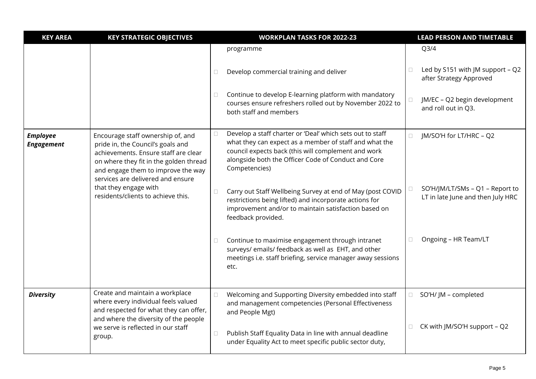| <b>KEY AREA</b>                              | <b>KEY STRATEGIC OBJECTIVES</b>                                                                                                                                                                                                     |                                                                                                                     | <b>WORKPLAN TASKS FOR 2022-23</b>                                                                                                                                                                                                                  |                              | <b>LEAD PERSON AND TIMETABLE</b>                                     |
|----------------------------------------------|-------------------------------------------------------------------------------------------------------------------------------------------------------------------------------------------------------------------------------------|---------------------------------------------------------------------------------------------------------------------|----------------------------------------------------------------------------------------------------------------------------------------------------------------------------------------------------------------------------------------------------|------------------------------|----------------------------------------------------------------------|
|                                              |                                                                                                                                                                                                                                     |                                                                                                                     | programme                                                                                                                                                                                                                                          |                              | Q <sub>3/4</sub>                                                     |
|                                              |                                                                                                                                                                                                                                     | $\Box$                                                                                                              | Develop commercial training and deliver                                                                                                                                                                                                            | $\Box$                       | Led by S151 with JM support - Q2<br>after Strategy Approved          |
|                                              |                                                                                                                                                                                                                                     | $\Box$                                                                                                              | Continue to develop E-learning platform with mandatory<br>courses ensure refreshers rolled out by November 2022 to<br>both staff and members                                                                                                       |                              | JM/EC - Q2 begin development<br>and roll out in Q3.                  |
| <b>Employee</b><br><b>Engagement</b>         | Encourage staff ownership of, and<br>pride in, the Council's goals and<br>achievements. Ensure staff are clear<br>on where they fit in the golden thread<br>and engage them to improve the way<br>services are delivered and ensure | $\Box$                                                                                                              | Develop a staff charter or 'Deal' which sets out to staff<br>what they can expect as a member of staff and what the<br>council expects back (this will complement and work<br>alongside both the Officer Code of Conduct and Core<br>Competencies) | $\Box$                       | JM/SO'H for LT/HRC - Q2                                              |
|                                              | that they engage with<br>residents/clients to achieve this.                                                                                                                                                                         | $\Box$                                                                                                              | Carry out Staff Wellbeing Survey at end of May (post COVID<br>restrictions being lifted) and incorporate actions for<br>improvement and/or to maintain satisfaction based on<br>feedback provided.                                                 |                              | SO'H/JM/LT/SMs - Q1 - Report to<br>LT in late June and then July HRC |
|                                              |                                                                                                                                                                                                                                     | $\Box$                                                                                                              | Continue to maximise engagement through intranet<br>surveys/ emails/ feedback as well as EHT, and other<br>meetings i.e. staff briefing, service manager away sessions<br>etc.                                                                     |                              | Ongoing - HR Team/LT                                                 |
| <b>Diversity</b>                             | Create and maintain a workplace<br>where every individual feels valued                                                                                                                                                              | $\Box$                                                                                                              | Welcoming and Supporting Diversity embedded into staff<br>and management competencies (Personal Effectiveness                                                                                                                                      | $\Box$                       | SO'H/ JM - completed                                                 |
|                                              | and respected for what they can offer,<br>and where the diversity of the people                                                                                                                                                     |                                                                                                                     | and People Mgt)                                                                                                                                                                                                                                    |                              |                                                                      |
| we serve is reflected in our staff<br>group. | $\Box$                                                                                                                                                                                                                              | Publish Staff Equality Data in line with annual deadline<br>under Equality Act to meet specific public sector duty, | $\Box$                                                                                                                                                                                                                                             | CK with JM/SO'H support - Q2 |                                                                      |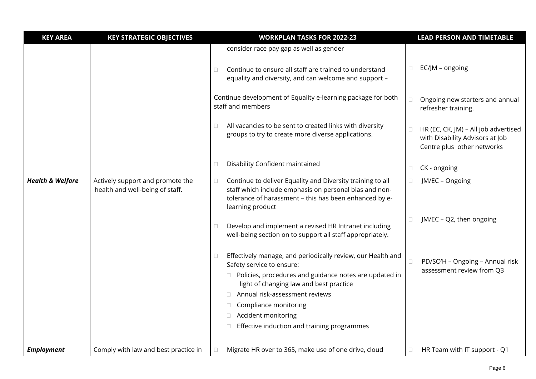| <b>KEY AREA</b>             | <b>KEY STRATEGIC OBJECTIVES</b>                                     | <b>WORKPLAN TASKS FOR 2022-23</b>                                                                                                                                                                                                                                                                                                          | <b>LEAD PERSON AND TIMETABLE</b>                                                                                |
|-----------------------------|---------------------------------------------------------------------|--------------------------------------------------------------------------------------------------------------------------------------------------------------------------------------------------------------------------------------------------------------------------------------------------------------------------------------------|-----------------------------------------------------------------------------------------------------------------|
|                             |                                                                     | consider race pay gap as well as gender<br>Continue to ensure all staff are trained to understand<br>$\Box$<br>equality and diversity, and can welcome and support -                                                                                                                                                                       | EC/JM - ongoing<br>$\Box$                                                                                       |
|                             |                                                                     | Continue development of Equality e-learning package for both<br>staff and members                                                                                                                                                                                                                                                          | Ongoing new starters and annual<br>$\Box$<br>refresher training.                                                |
|                             |                                                                     | All vacancies to be sent to created links with diversity<br>$\Box$<br>groups to try to create more diverse applications.                                                                                                                                                                                                                   | HR (EC, CK, JM) - All job advertised<br>$\Box$<br>with Disability Advisors at Job<br>Centre plus other networks |
|                             |                                                                     | Disability Confident maintained<br>$\Box$                                                                                                                                                                                                                                                                                                  | CK - ongoing<br>□                                                                                               |
| <b>Health &amp; Welfare</b> | Actively support and promote the<br>health and well-being of staff. | Continue to deliver Equality and Diversity training to all<br>$\Box$<br>staff which include emphasis on personal bias and non-<br>tolerance of harassment - this has been enhanced by e-<br>learning product                                                                                                                               | JM/EC - Ongoing<br>$\Box$                                                                                       |
|                             |                                                                     | Develop and implement a revised HR Intranet including<br>$\Box$<br>well-being section on to support all staff appropriately.                                                                                                                                                                                                               | JM/EC - Q2, then ongoing<br>$\Box$                                                                              |
|                             |                                                                     | Effectively manage, and periodically review, our Health and<br>$\Box$<br>Safety service to ensure:<br>□ Policies, procedures and guidance notes are updated in<br>light of changing law and best practice<br>Annual risk-assessment reviews<br>Compliance monitoring<br>Accident monitoring<br>Effective induction and training programmes | PD/SO'H - Ongoing - Annual risk<br>$\Box$<br>assessment review from Q3                                          |
| <b>Employment</b>           | Comply with law and best practice in                                | Migrate HR over to 365, make use of one drive, cloud<br>$\Box$                                                                                                                                                                                                                                                                             | HR Team with IT support - Q1<br>$\Box$                                                                          |